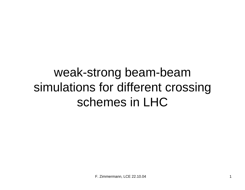## weak-strong beam-beam simulations for different crossing schemes in LHC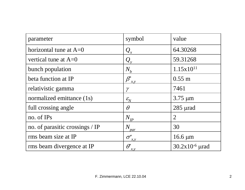| parameter                       | symbol                  | value                |
|---------------------------------|-------------------------|----------------------|
| horizontal tune at $A=0$        | $\mathcal{Q}_x$         | 64.30268             |
| vertical tune at $A=0$          | $\mathcal{Q}_{v}$       | 59.31268             |
| bunch population                | $N_b$                   | $1.15x10^{11}$       |
| beta function at IP             | $\pmb{\beta}^*$<br>x, y | $0.55 \; \mathrm{m}$ |
| relativistic gamma              | $\gamma$                | 7461                 |
| normalized emittance (1s)       | $\mathcal{E}_N$         | $3.75 \mu m$         |
| full crossing angle             | $\theta$                | $285$ $\mu$ rad      |
| no. of IPs                      | $N_{IP}$                | $\overline{2}$       |
| no. of parasitic crossings / IP | $N_{\cdot}$<br>par      | 30                   |
| rms beam size at IP             | $\sigma^*$<br>x, y      | $16.6 \mu m$         |
| rms beam divergence at IP       | $\theta^*$<br>x, y      | $30.2x10^{-6}$ urad  |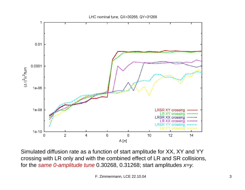

Simulated diffusion rate as a function of start amplitude for XX, XY and YY crossing with LR only and with the combined effect of LR and SR collisions, for the *same 0-amplitude tune* 0.30268, 0.31268; start amplitudes *x=y.*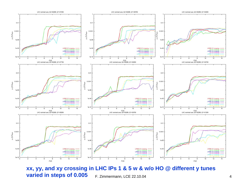

## F. Zimmermann, LCE 22.10.04 **xx, yy, and xy crossing in LHC IPs 1 & 5 w & w/o HO @ different y tunes varied in steps of 0.005**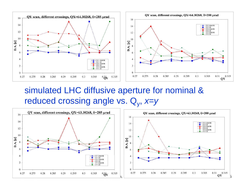

## simulated LHC diffusive aperture for nominal & reduced crossing angle vs. Q y, *x=y*

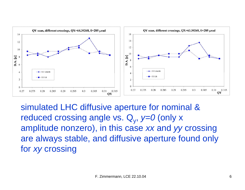

simulated LHC diffusive aperture for nominal & reduced crossing angle vs. Q<sub>v</sub>, y=0 (only x amplitude nonzero), in this case *xx* and *yy* crossing are always stable, and diffusive aperture found only for *xy* crossing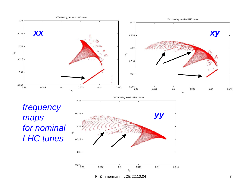

F. Zimmermann, LCE 22.10.04 7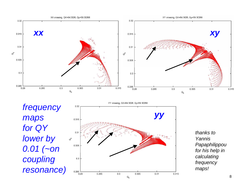